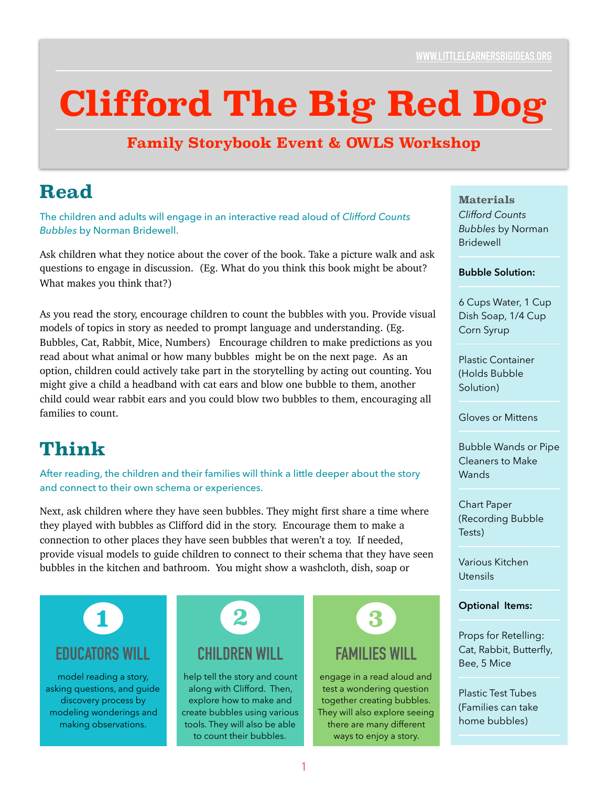# **Clifford The Big Red Dog**

### **Family Storybook Event & OWLS Workshop**

### **Read**

The children and adults will engage in an interactive read aloud of *Clifford Counts Bubbles* by Norman Bridewell.

Ask children what they notice about the cover of the book. Take a picture walk and ask questions to engage in discussion. (Eg. What do you think this book might be about? What makes you think that?)

As you read the story, encourage children to count the bubbles with you. Provide visual models of topics in story as needed to prompt language and understanding. (Eg. Bubbles, Cat, Rabbit, Mice, Numbers) Encourage children to make predictions as you read about what animal or how many bubbles might be on the next page. As an option, children could actively take part in the storytelling by acting out counting. You might give a child a headband with cat ears and blow one bubble to them, another child could wear rabbit ears and you could blow two bubbles to them, encouraging all families to count.

## **Think**

After reading, the children and their families will think a little deeper about the story and connect to their own schema or experiences.

Next, ask children where they have seen bubbles. They might first share a time where they played with bubbles as Clifford did in the story. Encourage them to make a connection to other places they have seen bubbles that weren't a toy. If needed, provide visual models to guide children to connect to their schema that they have seen bubbles in the kitchen and bathroom. You might show a washcloth, dish, soap or

# **EDUCATORS WILL 1**

model reading a story, asking questions, and guide discovery process by modeling wonderings and making observations.

| <b>CHILDREN WILL</b> |  |
|----------------------|--|

help tell the story and count along with Clifford. Then, explore how to make and create bubbles using various tools. They will also be able to count their bubbles.



### **FAMILIES WILL**

engage in a read aloud and test a wondering question together creating bubbles. They will also explore seeing there are many different ways to enjoy a story.

**Materials** *Clifford Counts Bubbles* by Norman **Bridewell** 

#### **Bubble Solution:**

6 Cups Water, 1 Cup Dish Soap, 1/4 Cup Corn Syrup

Plastic Container (Holds Bubble Solution)

Gloves or Mittens

Bubble Wands or Pipe Cleaners to Make **Wands** 

Chart Paper (Recording Bubble Tests)

Various Kitchen Utensils

#### **Optional Items:**

Props for Retelling: Cat, Rabbit, Butterfly, Bee, 5 Mice

Plastic Test Tubes (Families can take home bubbles)